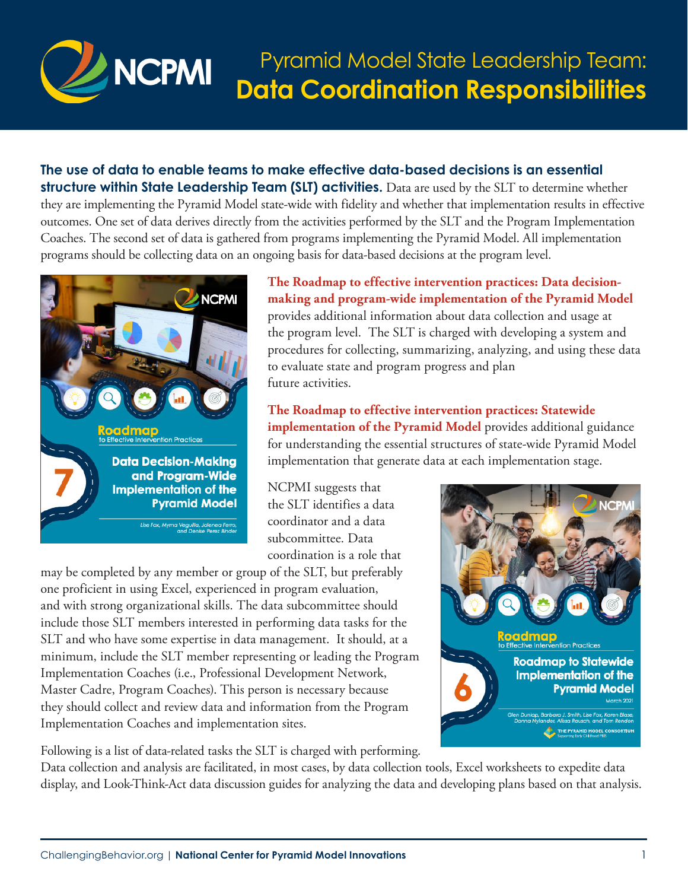

**The use of data to enable teams to make effective data-based decisions is an essential structure within State Leadership Team (SLT) activities.** Data are used by the SLT to determine whether they are implementing the Pyramid Model state-wide with fidelity and whether that implementation results in effective outcomes. One set of data derives directly from the activities performed by the SLT and the Program Implementation Coaches. The second set of data is gathered from programs implementing the Pyramid Model. All implementation programs should be collecting data on an ongoing basis for data-based decisions at the program level.



**[The Roadmap to effective intervention practices: Data decision](https://challengingbehavior.cbcs.usf.edu/docs/roadmap/Roadmap_7_Data.pdf)[making and program-wide implementation of the Pyramid Model](https://challengingbehavior.cbcs.usf.edu/docs/roadmap/Roadmap_7_Data.pdf)** provides additional information about data collection and usage at the program level. The SLT is charged with developing a system and procedures for collecting, summarizing, analyzing, and using these data to evaluate state and program progress and plan future activities.

**[The Roadmap to effective intervention practices: Statewide](https://challengingbehavior.cbcs.usf.edu/docs/roadmap/roadmap_6_roadmap-to-statewide-implementation.pdf)  [implementation of the Pyramid Model](https://challengingbehavior.cbcs.usf.edu/docs/roadmap/roadmap_6_roadmap-to-statewide-implementation.pdf)** provides additional guidance for understanding the essential structures of state-wide Pyramid Model implementation that generate data at each implementation stage.

NCPMI suggests that the SLT identifies a data coordinator and a data subcommittee. Data coordination is a role that

may be completed by any member or group of the SLT, but preferably one proficient in using Excel, experienced in program evaluation, and with strong organizational skills. The data subcommittee should include those SLT members interested in performing data tasks for the SLT and who have some expertise in data management. It should, at a minimum, include the SLT member representing or leading the Program Implementation Coaches (i.e., Professional Development Network, Master Cadre, Program Coaches). This person is necessary because they should collect and review data and information from the Program Implementation Coaches and implementation sites.

Following is a list of data-related tasks the SLT is charged with performing.

Data collection and analysis are facilitated, in most cases, by data collection tools, Excel worksheets to expedite data display, and Look-Think-Act data discussion guides for analyzing the data and developing plans based on that analysis.

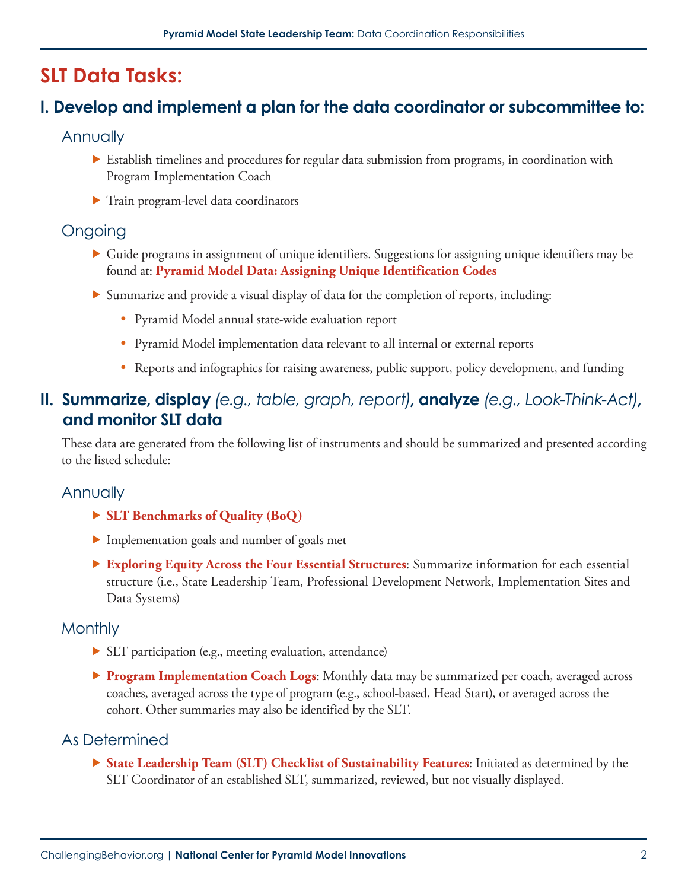# **SLT Data Tasks:**

# **I. Develop and implement a plan for the data coordinator or subcommittee to:**

#### **Annually**

- ▶ Establish timelines and procedures for regular data submission from programs, in coordination with Program Implementation Coach
- ▶ Train program-level data coordinators

### Ongoing

- ▶ Guide programs in assignment of unique identifiers. Suggestions for assigning unique identifiers may be found at: **[Pyramid Model Data: Assigning Unique Identification Codes](https://challengingbehavior.cbcs.usf.edu/docs/Data-ID-Codes_tipsheet.pdf)**
- ▶ Summarize and provide a visual display of data for the completion of reports, including:
	- Pyramid Model annual state-wide evaluation report
	- Pyramid Model implementation data relevant to all internal or external reports
	- Reports and infographics for raising awareness, public support, policy development, and funding

## **II. Summarize, display** *(e.g., table, graph, report)***, analyze** *(e.g., Look-Think-Act)***, and monitor SLT data**

These data are generated from the following list of instruments and should be summarized and presented according to the listed schedule:

### **Annually**

- ▶ **[SLT Benchmarks of Quality \(BoQ\)](https://challengingbehavior.cbcs.usf.edu/docs/BoQ_StateTeam.pdf)**
- ▶ Implementation goals and number of goals met
- ▶ **[Exploring Equity Across the Four Essential Structures](https://challengingbehavior.cbcs.usf.edu/Implementation/State/index.html)**: Summarize information for each essential structure (i.e., State Leadership Team, Professional Development Network, Implementation Sites and Data Systems)

#### **Monthly**

- ▶ SLT participation (e.g., meeting evaluation, attendance)
- ▶ **[Program Implementation Coach Logs](https://challengingbehavior.cbcs.usf.edu/docs/ProgramCoaching_Log.pdf)**: Monthly data may be summarized per coach, averaged across coaches, averaged across the type of program (e.g., school-based, Head Start), or averaged across the cohort. Other summaries may also be identified by the SLT.

### As Determined

▶ **[State Leadership Team \(SLT\) Checklist of Sustainability Features](https://challengingbehavior.cbcs.usf.edu/docs/SLT_checklist-sustainability-features.pdf)**: Initiated as determined by the SLT Coordinator of an established SLT, summarized, reviewed, but not visually displayed.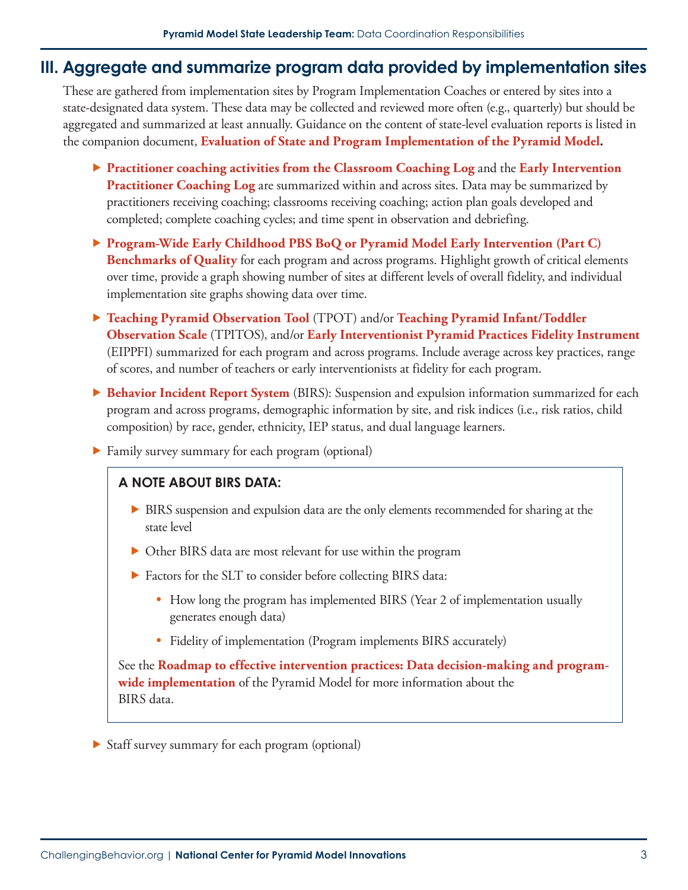### **III. Aggregate and summarize program data provided by implementation sites**

These are gathered from implementation sites by Program Implementation Coaches or entered by sites into a state-designated data system. These data may be collected and reviewed more often (e.g., quarterly) but should be aggregated and summarized at least annually. Guidance on the content of state-level evaluation reports is listed in the companion document, **[Evaluation of State and Program Implementation of the Pyramid Model](https://challengingbehavior.cbcs.usf.edu/docs/Eval-State-Program-Implementation.pdf)***.*

- ▶ **[Practitioner coaching activities from the Classroom Coaching Log](https://challengingbehavior.cbcs.usf.edu/docs/coaching_log.pdf)** and the **[Early Intervention](https://challengingbehavior.cbcs.usf.edu/docs/Coaching_Log-Strategies_EI.pdf)  [Practitioner Coaching Log](https://challengingbehavior.cbcs.usf.edu/docs/Coaching_Log-Strategies_EI.pdf)** are summarized within and across sites. Data may be summarized by practitioners receiving coaching; classrooms receiving coaching; action plan goals developed and completed; complete coaching cycles; and time spent in observation and debriefing.
- ▶ **[Program-Wide Early Childhood PBS BoQ](https://challengingbehavior.cbcs.usf.edu/docs/BoQ_EarlyChildhood_Program-Wide.pdf) or [Pyramid Model Early Intervention \(Part C\)](https://challengingbehavior.cbcs.usf.edu/docs/EI_PartC_BoQ_v1_form.pdf)  [Benchmarks of Quality](https://challengingbehavior.cbcs.usf.edu/docs/EI_PartC_BoQ_v1_form.pdf)** for each program and across programs. Highlight growth of critical elements over time, provide a graph showing number of sites at different levels of overall fidelity, and individual implementation site graphs showing data over time.
- ▶ **[Teaching Pyramid Observation Tool](https://challengingbehavior.cbcs.usf.edu/Implementation/Data/index.html)** (TPOT) and/or **[Teaching Pyramid Infant/Toddler](https://challengingbehavior.cbcs.usf.edu/Implementation/Data/index.html)  [Observation Scale](https://challengingbehavior.cbcs.usf.edu/Implementation/Data/index.html)** (TPITOS), and/or **[Early Interventionist Pyramid Practices Fidelity Instrument](https://challengingbehavior.cbcs.usf.edu/Implementation/data/EIPPFI.html)** (EIPPFI) summarized for each program and across programs. Include average across key practices, range of scores, and number of teachers or early interventionists at fidelity for each program.
- ▶ **[Behavior Incident Report System](https://challengingbehavior.cbcs.usf.edu/Implementation/data/BIRS.html)** (BIRS): Suspension and expulsion information summarized for each program and across programs, demographic information by site, and risk indices (i.e., risk ratios, child composition) by race, gender, ethnicity, IEP status, and dual language learners.
- ▶ Family survey summary for each program (optional)

#### **A NOTE ABOUT BIRS DATA:**

- ▶ BIRS suspension and expulsion data are the only elements recommended for sharing at the state level
- ▶ Other BIRS data are most relevant for use within the program
- ▶ Factors for the SLT to consider before collecting BIRS data:
	- How long the program has implemented BIRS (Year 2 of implementation usually generates enough data)
	- Fidelity of implementation (Program implements BIRS accurately)

See the **[Roadmap to effective intervention practices: Data decision-making and program](https://challengingbehavior.cbcs.usf.edu/docs/roadmap/roadmap_7_Data.pdf)[wide implementation](https://challengingbehavior.cbcs.usf.edu/docs/roadmap/roadmap_7_Data.pdf)** of the Pyramid Model for more information about the BIRS data.

▶ Staff survey summary for each program (optional)